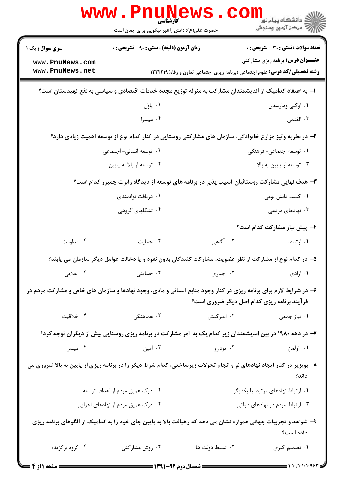|                                                                                                                                                                  | www.Pnune<br>حضرت علی(ع): دانش راهبر نیکویی برای ایمان است                                                |                 | کے دانشگاہ پیام نور<br>ا∛ مرکز آزمون وسنجش                                         |  |  |
|------------------------------------------------------------------------------------------------------------------------------------------------------------------|-----------------------------------------------------------------------------------------------------------|-----------------|------------------------------------------------------------------------------------|--|--|
| <b>سری سوال :</b> یک ۱                                                                                                                                           | <b>زمان آزمون (دقیقه) : تستی : ۹۰٪ تشریحی : 0</b>                                                         |                 | <b>تعداد سوالات : تستی : 30 ٪ تشریحی : 0</b>                                       |  |  |
| www.PnuNews.com                                                                                                                                                  |                                                                                                           |                 | <b>عنـــوان درس:</b> برنامه ریزی مشارکتی                                           |  |  |
| www.PnuNews.net                                                                                                                                                  |                                                                                                           |                 | <b>رشته تحصیلی/کد درس:</b> علوم اجتماعی (برنامه ریزی اجتماعی تعاون و رفاه) ۱۲۲۲۲۱۹ |  |  |
|                                                                                                                                                                  | ا– به اعتقاد کدامیک از اندیشمندان مشارکت به منزله توزیع مجدد خدمات اقتصادی و سیاسی به نفع تهیدستان است؟   |                 |                                                                                    |  |  |
|                                                                                                                                                                  | ۰۲ پاول                                                                                                   |                 | ۰۱ اوکلی ومارسدن                                                                   |  |  |
|                                                                                                                                                                  | ۰۴ میسرا                                                                                                  |                 | ۰۳ الغنمي                                                                          |  |  |
|                                                                                                                                                                  | ۲- در نظریه وتیز مزارع خانوادگی، سازمان های مشارکتی روستایی در کنار کدام نوع از توسعه اهمیت زیادی دارد؟   |                 |                                                                                    |  |  |
|                                                                                                                                                                  | ۰۲ توسعه انسانی- اجتماعی                                                                                  |                 | ۰۱ توسعه اجتماعی- فرهنگی                                                           |  |  |
|                                                                                                                                                                  | ۰۴ توسعه از بالا به پايين                                                                                 |                 | ۰۳ توسعه از پايين به بالا                                                          |  |  |
|                                                                                                                                                                  | ۳- هدف نهایی مشارکت روستائیان آسیب پذیر در برنامه های توسعه از دیدگاه رابرت چمبرز کدام است؟               |                 |                                                                                    |  |  |
|                                                                                                                                                                  | ۰۲ دریافت توانمندی                                                                                        |                 | ۰۱ کسب دانش بومی                                                                   |  |  |
|                                                                                                                                                                  | ۰۴ تشکلهای گروهی                                                                                          |                 | ۰۳ نهادهای مردمی                                                                   |  |  |
|                                                                                                                                                                  |                                                                                                           |                 | ۴- پیش نیاز مشارکت کدام است؟                                                       |  |  |
| ۰۴ مداومت                                                                                                                                                        | ۰۳ حمایت                                                                                                  | ۲. آگاهی        | ١. ارتباط                                                                          |  |  |
|                                                                                                                                                                  | ۵– در کدام نوع از مشارکت از نظر عضویت، مشارکت کنندگان بدون نفوذ و یا دخالت عوامل دیگر سازمان می یابند؟    |                 |                                                                                    |  |  |
| ۰۴ انقلابی                                                                                                                                                       | ۰۳ حمایتی                                                                                                 | ۰۲ اجباری       | ۰۱ ارادی                                                                           |  |  |
| ۶- در شرایط لازم برای برنامه ریزی در کنار وجود منابع انسانی و مادی، وجود نهادها و سازمان های خاص و مشارکت مردم در<br>فرآیند برنامه ریزی کدام اصل دیگر ضروری است؟ |                                                                                                           |                 |                                                                                    |  |  |
| ۰۴ خلاقیت                                                                                                                                                        | ۰۳ هماهنگی                                                                                                | ۰۲ اندرکنش      | ۰۱ نیاز جمعی                                                                       |  |  |
|                                                                                                                                                                  | ۷– در دهه ۱۹۸۰ در بین اندیشمندان زیر کدام یک به آمر مشارکت در برنامه ریزی روستایی بیش از دیگران توجه کرد؟ |                 |                                                                                    |  |  |
| ۰۴ میسرا                                                                                                                                                         | ۰۲ تودارو میستن د ۲۰۰ امین میشود. از سال ۱۳                                                               |                 | ۰۱ اولمن                                                                           |  |  |
| ۸- بویزیر در کنار ایجاد نهادهای نو و انجام تحولات زیرساختی، کدام شرط دیگر را در برنامه ریزی از پایین به بالا ضروری می<br>داند؟                                   |                                                                                                           |                 |                                                                                    |  |  |
| ۰۲ درک عمیق مردم از اهداف توسعه                                                                                                                                  |                                                                                                           |                 | ٠١ ارتباط نهادهاى مرتبط با يكديگر                                                  |  |  |
| ۰۴ درک عمیق مردم از نهادهای اجرایی                                                                                                                               |                                                                                                           |                 | ۰۳ ارتباط مردم در نهادهای دولتی                                                    |  |  |
| ۹- شواهد و تجربیات جهانی همواره نشان می دهد که رهیافت بالا به پایین جای خود را به کدامیک از الگوهای برنامه ریزی<br>داده است؟                                     |                                                                                                           |                 |                                                                                    |  |  |
| ۰۴ گروه برگزیده                                                                                                                                                  | ۰۳ روش مشارکتی                                                                                            | ۰۲ تسلط دولت ها | ۰۱ تصمیم گیری                                                                      |  |  |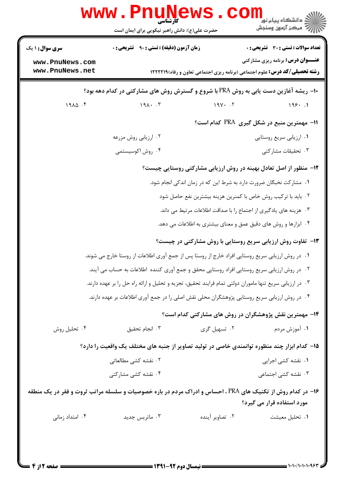|                                    | <b>www.Pnunet</b><br>حضرت علی(ع): دانش راهبر نیکویی برای ایمان است                                         | ڪ دانشڪاه پيام نور<br>ا∛ مرڪز آزمون وسنجش                                                                                      |  |  |  |  |  |
|------------------------------------|------------------------------------------------------------------------------------------------------------|--------------------------------------------------------------------------------------------------------------------------------|--|--|--|--|--|
| <b>سری سوال :</b> ۱ یک             | <b>زمان آزمون (دقیقه) : تستی : ۹۰ قشریحی : 0</b>                                                           | تعداد سوالات : تستي : 30 ٪ تشريحي : 0                                                                                          |  |  |  |  |  |
| www.PnuNews.com<br>www.PnuNews.net |                                                                                                            | <b>عنـــوان درس:</b> برنامه ریزی مشارکتی<br><b>رشته تحصیلی/کد درس:</b> علوم اجتماعی (برنامه ریزی اجتماعی تعاون و رفاه)1۲۲۲۱۹ ا |  |  |  |  |  |
|                                    | +۱− ریشه آغازین دست یابی به روش PRA با شروع و گسترش روش های مشارکتی در کدام دهه بود؟                       |                                                                                                                                |  |  |  |  |  |
| $19\lambda\Delta$ .                | $191 \cdot .7$                                                                                             | 199.1<br>$19Y - 5Y$                                                                                                            |  |  |  |  |  |
|                                    |                                                                                                            | 11- مهمترین منبع در شکل گیری PRA کدام است؟                                                                                     |  |  |  |  |  |
|                                    | ۰۲ ارزیابی روش مزرعه                                                                                       | ۰۱ ارزیابی سریع روستایی                                                                                                        |  |  |  |  |  |
|                                    | ۰۴ روش اکوسیستمی                                                                                           | ۰۳ تحقیقات مشارکتی                                                                                                             |  |  |  |  |  |
|                                    |                                                                                                            | ۱۲- منظور از اصل تعادل بهینه در روش ارزیابی مشارکتی روستایی چیست؟                                                              |  |  |  |  |  |
|                                    | ۰۱ مشارکت نخبگان ضرورت دارد به شرط این که در زمان اندکی انجام شود.                                         |                                                                                                                                |  |  |  |  |  |
|                                    |                                                                                                            | ۰۲ باید با ترکیب روش خاص با کمنرین هزینه بیشترین نفع حاصل شود                                                                  |  |  |  |  |  |
|                                    |                                                                                                            | ۰۳ هزینه های یادگیری از اجتماع را با صداقت اطلاعات مرتبط می داند.                                                              |  |  |  |  |  |
|                                    |                                                                                                            | ۰۴ ابزارها و روش های دقیق عمق و معنای بیشتری به اطلاعات می دهد.                                                                |  |  |  |  |  |
|                                    |                                                                                                            | ۱۳- تفاوت روش ارزیابی سریع روستایی با روش مشارکتی در چیست؟                                                                     |  |  |  |  |  |
|                                    | ۰۱ در روش ارزیابی سریع روستایی افراد خارج از روستا پس از جمع آوری اطلاعات از روستا خارج می شوند.           |                                                                                                                                |  |  |  |  |  |
|                                    | ۰۲ در روش ارزیابی سریع روستایی افراد روستایی محقق و جمع آوری کننده اطلاعات به حساب می آیند.                |                                                                                                                                |  |  |  |  |  |
|                                    | ۰۳ در ارزیابی سریع تنها ماموران دولتی تمام فرایند تحقیق، تجزیه و تحلیل و ارائه راه حل را بر عهده دارند.    |                                                                                                                                |  |  |  |  |  |
|                                    | ۰۴ در روش ارزیابی سریع روستایی پژوهشگران محلی نقش اصلی را در جمع آوری اطلاعات بر عهده دارند.               |                                                                                                                                |  |  |  |  |  |
|                                    |                                                                                                            | ۱۴- مهمترین نقش پژوهشگران در روش های مشارکتی کدام است؟                                                                         |  |  |  |  |  |
| ۰۴ تحلیل روش                       | ۰۲ تسهیل گری<br>۰۳ انجام تحقیق                                                                             | ۰۱ آموزش مردم                                                                                                                  |  |  |  |  |  |
|                                    | ۱۵– کدام ابزار چند منظوره توانمندی خاصی در تولید تصاویر از جنبه های مختلف یک واقعیت را دارد؟               |                                                                                                                                |  |  |  |  |  |
|                                    | ۰۲ نقشه کشی مطالعاتی                                                                                       | ۰۱ نقشه کشی اجرایی                                                                                                             |  |  |  |  |  |
|                                    | ۰۴ نقشه کشی مشارکتی                                                                                        | ۰۳ نقشه کشی اجتماعی                                                                                                            |  |  |  |  |  |
|                                    | ۱۶- در کدام روش از تکنیک های PRA ، احساس و ادراک مردم در باره خصوصیات و سلسله مراتب ثروت و فقر در یک منطقه | مورد استفاده قرار می گیرد؟                                                                                                     |  |  |  |  |  |
| ۰۴ امتداد زمانی                    | ۰۳ ماتریس جدید<br>۰۲ تصاویر آینده                                                                          | ۰۱ تحليل معيشت                                                                                                                 |  |  |  |  |  |
|                                    |                                                                                                            |                                                                                                                                |  |  |  |  |  |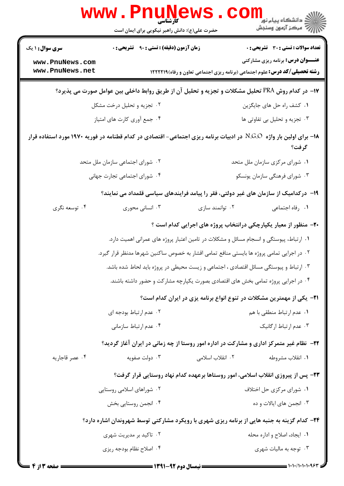|                                                                                                                                | <b>www.PnuNews</b><br>کارشناسی<br>حضرت علی(ع): دانش راهبر نیکویی برای ایمان است            |                  | <b>الارد</b><br>الاقتصاء پيام نور<br>الاقتصاد آزمون وسنجش                                 |  |
|--------------------------------------------------------------------------------------------------------------------------------|--------------------------------------------------------------------------------------------|------------------|-------------------------------------------------------------------------------------------|--|
| <b>سری سوال : ۱ یک</b>                                                                                                         | <b>زمان آزمون (دقیقه) : تستی : ۹۰ تشریحی : 0</b>                                           |                  | <b>تعداد سوالات : تستی : 30 ٪ تشریحی : 0</b>                                              |  |
| www.PnuNews.com                                                                                                                |                                                                                            |                  | <b>عنـــوان درس:</b> برنامه ریزی مشارکتی                                                  |  |
| www.PnuNews.net                                                                                                                |                                                                                            |                  | <b>رشته تحصیلی/کد درس:</b> علوم اجتماعی (برنامه ریزی اجتماعی تعاون و رفاه) ۱۲۲۲۲۱۹        |  |
| ۱۷− در کدام روش PRA تحلیل مشکلات و تجزیه و تحلیل آن از طریق روابط داخلی بین عوامل صورت می پذیرد؟                               |                                                                                            |                  |                                                                                           |  |
|                                                                                                                                | ۰۲ تجزیه و تحلیل درخت مشکل                                                                 |                  | ۰۱ کشف راه حل های جایگزین                                                                 |  |
|                                                                                                                                | ۰۴ جمع أوري كارت هاي امتياز                                                                |                  | ۰۳ تجزیه و تحلیل بی تفاوتی ها                                                             |  |
| ۱۸– برای اولین بار واژه  N.G.O  در ادبیات برنامه ریزی اجتماعی- اقتصادی در کدام قطنامه در فوریه ۱۹۷۰ مورد استفاده قرار<br>گرفت؟ |                                                                                            |                  |                                                                                           |  |
|                                                                                                                                | ۰۲ شورای اجتماعی سازمان ملل متحد                                                           |                  | ۰۱ شورای مرکزی سازمان ملل متحد                                                            |  |
|                                                                                                                                | ۴. شورای اجتماعی تجارت جهانی                                                               |                  | ۰۳ شورای فرهنگی سازمان یونسکو                                                             |  |
|                                                                                                                                |                                                                                            |                  | ۱۹– درکدامیک از سازمان های غیر دولتی، فقر را پیامد فرایندهای سیاسی قلمداد می نمایند؟      |  |
| ۰۴ توسعه نگري                                                                                                                  | ۰۳ انسانی محوری                                                                            | ۰۲ توانمند سازی  | ٠١ رفاه اجتماعي                                                                           |  |
|                                                                                                                                |                                                                                            |                  | ۲۰- منظور از معیار یکپارچکی درانتخاب پروژه های اجرایی کدام است ؟                          |  |
|                                                                                                                                | ۰۱ ارتباط، پیوستگی و انسجام مسائل و مشکلات در تامین اعتبار پروژه های عمرانی اهمیت دارد.    |                  |                                                                                           |  |
|                                                                                                                                | ۰۲ در اجرایی تمامی پروژه ها بایستی منافع تمامی اقشار به خصوص ساکنین شهرها مدنظر قرار گیرد. |                  |                                                                                           |  |
|                                                                                                                                | ۰۳ ارتباط و پیوستگی مسائل اقتصادی ، اجتماعی و زیست محیطی در پروژه باید لحاط شده باشد.      |                  |                                                                                           |  |
| ۰۴ در اجرایی پروژه تمامی بخش های اقتصادی بصورت یکپارچه مشارکت و حضور داشته باشند.                                              |                                                                                            |                  |                                                                                           |  |
| <b>۲۱</b> - یکی از مهمترین مشکلات در تنوع انواع برنامه یزی در ایران کدام است؟                                                  |                                                                                            |                  |                                                                                           |  |
|                                                                                                                                | ۰۲ عدم ارتباط بودجه ای                                                                     |                  | ۰۱ عدم ارتباط منطقی با هم                                                                 |  |
|                                                                                                                                | ۰۴ عدم ارتباط سازمانی                                                                      |                  | ۰۳ عدم ارتباط ارگانیک                                                                     |  |
|                                                                                                                                |                                                                                            |                  | ۲۲- ً نظام غیر متمرکز اداری و مشارکت در اداره امور روستا از چه زمانی در ایران آغاز گردید؟ |  |
| ۰۴ عصر قاجاریه                                                                                                                 | ۰۳ دولت صفویه                                                                              | ۰۲ انقلاب اسلامی | ۰۱ انقلاب مشروطه                                                                          |  |
|                                                                                                                                |                                                                                            |                  | ۲۳- پس از پیروزی انقلاب اسلامی، امور روستاها برعهده کدام نهاد روستایی قرار گرفت؟          |  |
|                                                                                                                                | ۰۲ شوراهای اسلامی روستایی                                                                  |                  | ۰۱ شورای مرکزی حل اختلاف                                                                  |  |
|                                                                                                                                | ۰۴ انجمن روستايي بخش                                                                       |                  | ۰۳ انجمن های ایالات و ده                                                                  |  |
| <b>۲۴</b> - کدام گزینه به جنبه هایی از برنامه ریزی شهری با رویکرد مشارکتی توسط شهروندان اشاره دارد؟                            |                                                                                            |                  |                                                                                           |  |
|                                                                                                                                | ۰۲ تاکید بر مدیریت شهری                                                                    |                  | ۰۱ ایجاد، اصلاح و اداره محله                                                              |  |
|                                                                                                                                | ۰۴ اصلاح نظام بودجه ريزي                                                                   |                  | ۰۳ توجه به مالیات شهری                                                                    |  |